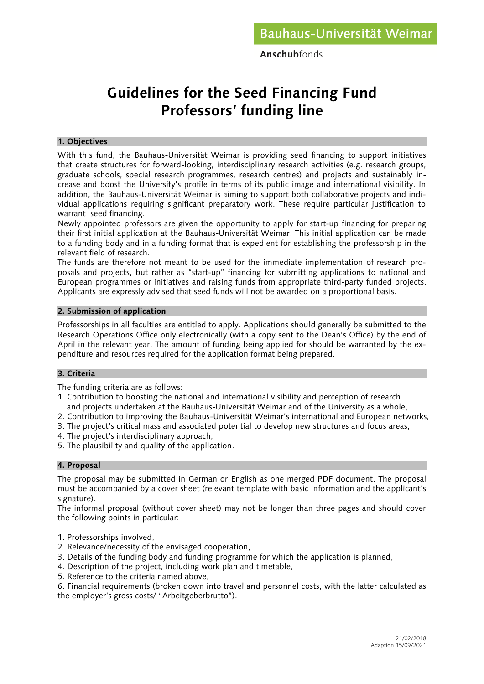Anschubfonds

# **Guidelines for the Seed Financing Fund Professors' funding line**

#### **1. Objectives**

With this fund, the Bauhaus-Universität Weimar is providing seed financing to support initiatives that create structures for forward-looking, interdisciplinary research activities (e.g. research groups, graduate schools, special research programmes, research centres) and projects and sustainably increase and boost the University's profile in terms of its public image and international visibility. In addition, the Bauhaus-Universität Weimar is aiming to support both collaborative projects and individual applications requiring significant preparatory work. These require particular justification to warrant seed financing.

Newly appointed professors are given the opportunity to apply for start-up financing for preparing their first initial application at the Bauhaus-Universität Weimar. This initial application can be made to a funding body and in a funding format that is expedient for establishing the professorship in the relevant field of research.

The funds are therefore not meant to be used for the immediate implementation of research proposals and projects, but rather as "start-up" financing for submitting applications to national and European programmes or initiatives and raising funds from appropriate third-party funded projects. Applicants are expressly advised that seed funds will not be awarded on a proportional basis.

### **2. Submission of application**

Professorships in all faculties are entitled to apply. Applications should generally be submitted to the Research Operations Office only electronically (with a copy sent to the Dean's Office) by the end of April in the relevant year. The amount of funding being applied for should be warranted by the expenditure and resources required for the application format being prepared.

## **3. Criteria**

The funding criteria are as follows:

- 1. Contribution to boosting the national and international visibility and perception of research and projects undertaken at the Bauhaus-Universität Weimar and of the University as a whole,
- 2. Contribution to improving the Bauhaus-Universität Weimar's international and European networks,
- 3. The project's critical mass and associated potential to develop new structures and focus areas,
- 4. The project's interdisciplinary approach,
- 5. The plausibility and quality of the application.

## **4. Proposal**

The proposal may be submitted in German or English as one merged PDF document. The proposal must be accompanied by a cover sheet (relevant template with basic information and the applicant's signature).

The informal proposal (without cover sheet) may not be longer than three pages and should cover the following points in particular:

- 1. Professorships involved,
- 2. Relevance/necessity of the envisaged cooperation,
- 3. Details of the funding body and funding programme for which the application is planned,
- 4. Description of the project, including work plan and timetable,
- 5. Reference to the criteria named above,

6. Financial requirements (broken down into travel and personnel costs, with the latter calculated as the employer's gross costs/ "Arbeitgeberbrutto").